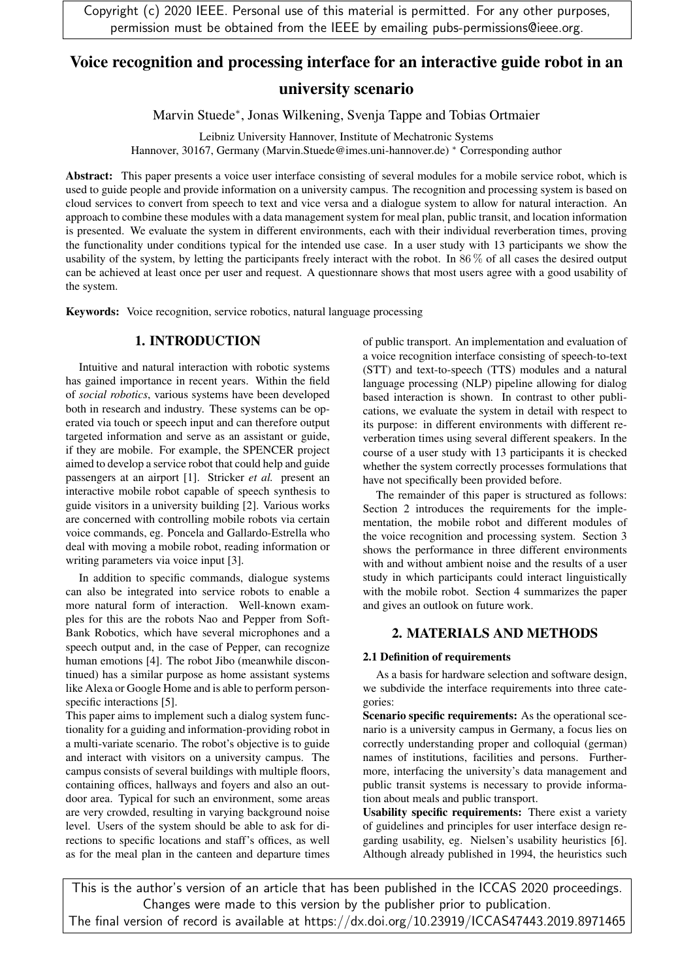# Voice recognition and processing interface for an interactive guide robot in an university scenario

Marvin Stuede<sup>∗</sup> , Jonas Wilkening, Svenja Tappe and Tobias Ortmaier

Leibniz University Hannover, Institute of Mechatronic Systems Hannover, 30167, Germany (Marvin.Stuede@imes.uni-hannover.de) <sup>∗</sup> Corresponding author

Abstract: This paper presents a voice user interface consisting of several modules for a mobile service robot, which is used to guide people and provide information on a university campus. The recognition and processing system is based on cloud services to convert from speech to text and vice versa and a dialogue system to allow for natural interaction. An approach to combine these modules with a data management system for meal plan, public transit, and location information is presented. We evaluate the system in different environments, each with their individual reverberation times, proving the functionality under conditions typical for the intended use case. In a user study with 13 participants we show the usability of the system, by letting the participants freely interact with the robot. In 86 % of all cases the desired output can be achieved at least once per user and request. A questionnare shows that most users agree with a good usability of the system.

Keywords: Voice recognition, service robotics, natural language processing

# 1. INTRODUCTION

Intuitive and natural interaction with robotic systems has gained importance in recent years. Within the field of *social robotics*, various systems have been developed both in research and industry. These systems can be operated via touch or speech input and can therefore output targeted information and serve as an assistant or guide, if they are mobile. For example, the SPENCER project aimed to develop a service robot that could help and guide passengers at an airport [1]. Stricker *et al.* present an interactive mobile robot capable of speech synthesis to guide visitors in a university building [2]. Various works are concerned with controlling mobile robots via certain voice commands, eg. Poncela and Gallardo-Estrella who deal with moving a mobile robot, reading information or writing parameters via voice input [3].

In addition to specific commands, dialogue systems can also be integrated into service robots to enable a more natural form of interaction. Well-known examples for this are the robots Nao and Pepper from Soft-Bank Robotics, which have several microphones and a speech output and, in the case of Pepper, can recognize human emotions [4]. The robot Jibo (meanwhile discontinued) has a similar purpose as home assistant systems like Alexa or Google Home and is able to perform personspecific interactions [5].

This paper aims to implement such a dialog system functionality for a guiding and information-providing robot in a multi-variate scenario. The robot's objective is to guide and interact with visitors on a university campus. The campus consists of several buildings with multiple floors, containing offices, hallways and foyers and also an outdoor area. Typical for such an environment, some areas are very crowded, resulting in varying background noise level. Users of the system should be able to ask for directions to specific locations and staff's offices, as well as for the meal plan in the canteen and departure times

of public transport. An implementation and evaluation of a voice recognition interface consisting of speech-to-text (STT) and text-to-speech (TTS) modules and a natural language processing (NLP) pipeline allowing for dialog based interaction is shown. In contrast to other publications, we evaluate the system in detail with respect to its purpose: in different environments with different reverberation times using several different speakers. In the course of a user study with 13 participants it is checked whether the system correctly processes formulations that have not specifically been provided before.

The remainder of this paper is structured as follows: Section 2 introduces the requirements for the implementation, the mobile robot and different modules of the voice recognition and processing system. Section 3 shows the performance in three different environments with and without ambient noise and the results of a user study in which participants could interact linguistically with the mobile robot. Section 4 summarizes the paper and gives an outlook on future work.

# 2. MATERIALS AND METHODS

## 2.1 Definition of requirements

As a basis for hardware selection and software design, we subdivide the interface requirements into three categories:

Scenario specific requirements: As the operational scenario is a university campus in Germany, a focus lies on correctly understanding proper and colloquial (german) names of institutions, facilities and persons. Furthermore, interfacing the university's data management and public transit systems is necessary to provide information about meals and public transport.

Usability specific requirements: There exist a variety of guidelines and principles for user interface design regarding usability, eg. Nielsen's usability heuristics [6]. Although already published in 1994, the heuristics such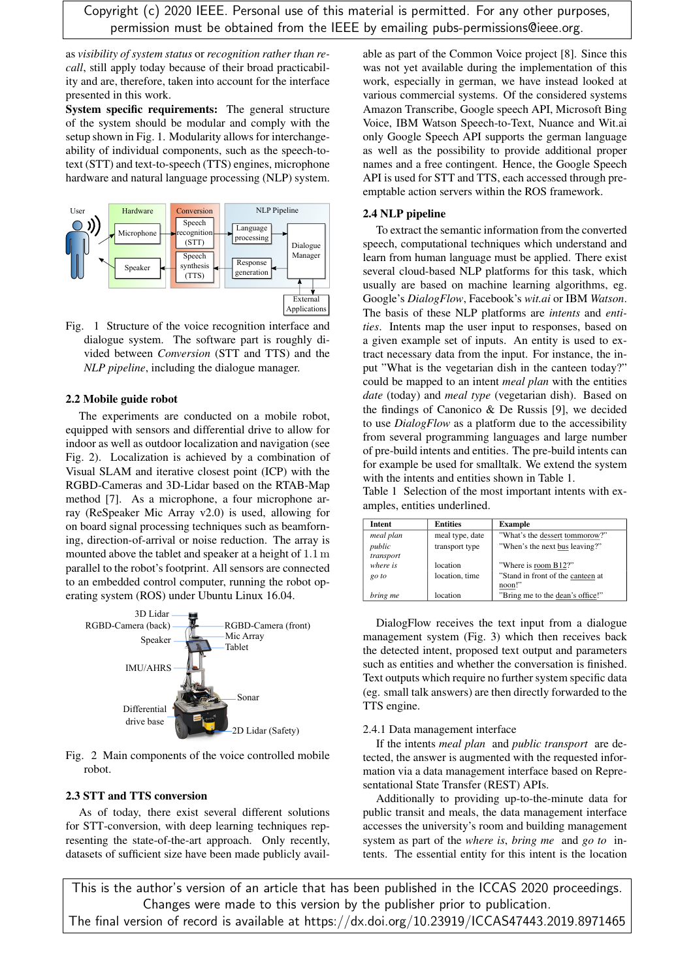as *visibility of system status* or *recognition rather than recall*, still apply today because of their broad practicability and are, therefore, taken into account for the interface presented in this work.

System specific requirements: The general structure of the system should be modular and comply with the setup shown in Fig. 1. Modularity allows for interchangeability of individual components, such as the speech-totext (STT) and text-to-speech (TTS) engines, microphone hardware and natural language processing (NLP) system.



Fig. 1 Structure of the voice recognition interface and dialogue system. The software part is roughly divided between *Conversion* (STT and TTS) and the *NLP pipeline*, including the dialogue manager.

#### 2.2 Mobile guide robot

The experiments are conducted on a mobile robot, equipped with sensors and differential drive to allow for indoor as well as outdoor localization and navigation (see Fig. 2). Localization is achieved by a combination of Visual SLAM and iterative closest point (ICP) with the RGBD-Cameras and 3D-Lidar based on the RTAB-Map method [7]. As a microphone, a four microphone array (ReSpeaker Mic Array v2.0) is used, allowing for on board signal processing techniques such as beamforning, direction-of-arrival or noise reduction. The array is mounted above the tablet and speaker at a height of 1.1 m parallel to the robot's footprint. All sensors are connected to an embedded control computer, running the robot operating system (ROS) under Ubuntu Linux 16.04.



Fig. 2 Main components of the voice controlled mobile robot.

### 2.3 STT and TTS conversion

As of today, there exist several different solutions for STT-conversion, with deep learning techniques representing the state-of-the-art approach. Only recently, datasets of sufficient size have been made publicly available as part of the Common Voice project [8]. Since this was not yet available during the implementation of this work, especially in german, we have instead looked at various commercial systems. Of the considered systems Amazon Transcribe, Google speech API, Microsoft Bing Voice, IBM Watson Speech-to-Text, Nuance and Wit.ai only Google Speech API supports the german language as well as the possibility to provide additional proper names and a free contingent. Hence, the Google Speech API is used for STT and TTS, each accessed through preemptable action servers within the ROS framework.

#### 2.4 NLP pipeline

To extract the semantic information from the converted speech, computational techniques which understand and learn from human language must be applied. There exist several cloud-based NLP platforms for this task, which usually are based on machine learning algorithms, eg. Google's *DialogFlow*, Facebook's *wit.ai* or IBM *Watson*. The basis of these NLP platforms are *intents* and *entities*. Intents map the user input to responses, based on a given example set of inputs. An entity is used to extract necessary data from the input. For instance, the input "What is the vegetarian dish in the canteen today?" could be mapped to an intent *meal plan* with the entities *date* (today) and *meal type* (vegetarian dish). Based on the findings of Canonico  $\&$  De Russis [9], we decided to use *DialogFlow* as a platform due to the accessibility from several programming languages and large number of pre-build intents and entities. The pre-build intents can for example be used for smalltalk. We extend the system with the intents and entities shown in Table 1.

Table 1 Selection of the most important intents with examples, entities underlined.

| <b>Intent</b>       | <b>Entities</b> | <b>Example</b>                              |
|---------------------|-----------------|---------------------------------------------|
| meal plan           | meal type, date | "What's the dessert tommorow?"              |
| public<br>transport | transport type  | "When's the next bus leaving?"              |
| where is            | location        | "Where is room B12?"                        |
| go to               | location, time  | "Stand in front of the canteen at<br>noon!" |
| bring me            | location        | "Bring me to the dean's office!"            |

DialogFlow receives the text input from a dialogue management system (Fig. 3) which then receives back the detected intent, proposed text output and parameters such as entities and whether the conversation is finished. Text outputs which require no further system specific data (eg. small talk answers) are then directly forwarded to the TTS engine.

#### 2.4.1 Data management interface

If the intents *meal plan* and *public transport* are detected, the answer is augmented with the requested information via a data management interface based on Representational State Transfer (REST) APIs.

Additionally to providing up-to-the-minute data for public transit and meals, the data management interface accesses the university's room and building management system as part of the *where is*, *bring me* and *go to* intents. The essential entity for this intent is the location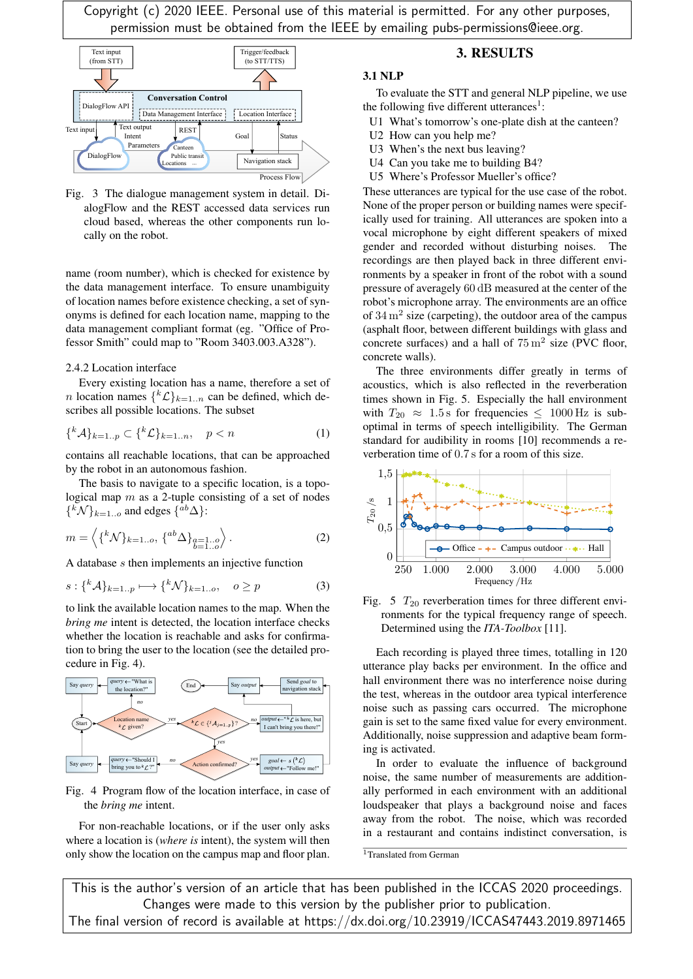

Fig. 3 The dialogue management system in detail. DialogFlow and the REST accessed data services run cloud based, whereas the other components run locally on the robot.

name (room number), which is checked for existence by the data management interface. To ensure unambiguity of location names before existence checking, a set of synonyms is defined for each location name, mapping to the data management compliant format (eg. "Office of Professor Smith" could map to "Room 3403.003.A328").

#### 2.4.2 Location interface

Every existing location has a name, therefore a set of *n* location names  $\{ {}^k{\mathcal{L}} \}_{k=1..n}$  can be defined, which describes all possible locations. The subset

$$
\{^k \mathcal{A}\}_{k=1..p} \subset \{^k \mathcal{L}\}_{k=1..n}, \quad p < n \tag{1}
$$

contains all reachable locations, that can be approached by the robot in an autonomous fashion.

The basis to navigate to a specific location, is a topological map  $m$  as a 2-tuple consisting of a set of nodes  $\{^k\mathcal{N}\}_{k=1..o}$  and edges  $\{^{ab}\Delta\}$ :

$$
m = \left\langle \{^k \mathcal{N} \}_{k=1..o}, \{^{ab} \Delta \}_{\substack{a=1..o \\ b=1..o}} \right\rangle. \tag{2}
$$

A database s then implements an injective function

$$
s: \{ ^k\mathcal{A} \}_{k=1..p} \longmapsto \{ ^k\mathcal{N} \}_{k=1..o}, \quad o \ge p \tag{3}
$$

to link the available location names to the map. When the *bring me* intent is detected, the location interface checks whether the location is reachable and asks for confirmation to bring the user to the location (see the detailed procedure in Fig. 4).



Fig. 4 Program flow of the location interface, in case of the *bring me* intent.

For non-reachable locations, or if the user only asks where a location is (*where is* intent), the system will then only show the location on the campus map and floor plan.

## 3. RESULTS

#### 3.1 NLP

To evaluate the STT and general NLP pipeline, we use the following five different utterances<sup>1</sup>:

- U1 What's tomorrow's one-plate dish at the canteen?
- U2 How can you help me?
- U3 When's the next bus leaving?
- U4 Can you take me to building B4?
- U5 Where's Professor Mueller's office?

These utterances are typical for the use case of the robot. None of the proper person or building names were specifically used for training. All utterances are spoken into a vocal microphone by eight different speakers of mixed gender and recorded without disturbing noises. The recordings are then played back in three different environments by a speaker in front of the robot with a sound pressure of averagely 60 dB measured at the center of the robot's microphone array. The environments are an office of  $34 \text{ m}^2$  size (carpeting), the outdoor area of the campus (asphalt floor, between different buildings with glass and concrete surfaces) and a hall of  $75 \text{ m}^2$  size (PVC floor, concrete walls).

The three environments differ greatly in terms of acoustics, which is also reflected in the reverberation times shown in Fig. 5. Especially the hall environment with  $T_{20} \approx 1.5$  s for frequencies  $\leq 1000$  Hz is suboptimal in terms of speech intelligibility. The German standard for audibility in rooms [10] recommends a reverberation time of 0.7 s for a room of this size.



Fig. 5  $T_{20}$  reverberation times for three different environments for the typical frequency range of speech. Determined using the *ITA-Toolbox* [11].

Each recording is played three times, totalling in 120 utterance play backs per environment. In the office and hall environment there was no interference noise during the test, whereas in the outdoor area typical interference noise such as passing cars occurred. The microphone gain is set to the same fixed value for every environment. Additionally, noise suppression and adaptive beam forming is activated.

In order to evaluate the influence of background noise, the same number of measurements are additionally performed in each environment with an additional loudspeaker that plays a background noise and faces away from the robot. The noise, which was recorded in a restaurant and contains indistinct conversation, is

<sup>1</sup>Translated from German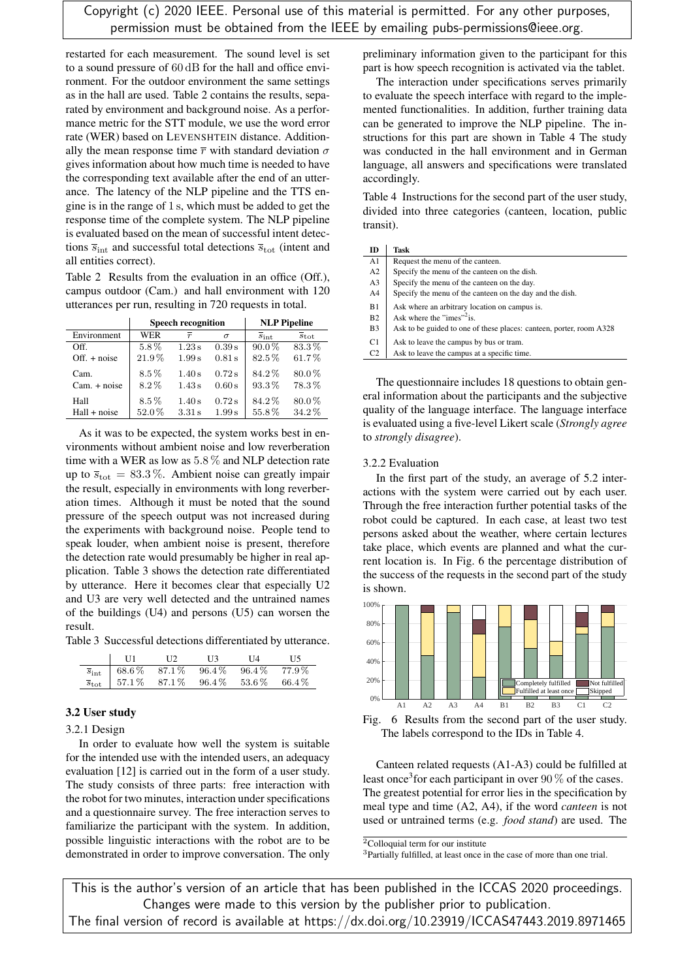restarted for each measurement. The sound level is set to a sound pressure of 60 dB for the hall and office environment. For the outdoor environment the same settings as in the hall are used. Table 2 contains the results, separated by environment and background noise. As a performance metric for the STT module, we use the word error rate (WER) based on LEVENSHTEIN distance. Additionally the mean response time  $\bar{r}$  with standard deviation  $\sigma$ gives information about how much time is needed to have the corresponding text available after the end of an utterance. The latency of the NLP pipeline and the TTS engine is in the range of 1 s, which must be added to get the response time of the complete system. The NLP pipeline is evaluated based on the mean of successful intent detections  $\bar{s}_{int}$  and successful total detections  $\bar{s}_{tot}$  (intent and all entities correct).

Table 2 Results from the evaluation in an office (Off.), campus outdoor (Cam.) and hall environment with 120 utterances per run, resulting in 720 requests in total.

|                | <b>Speech recognition</b> |                |          | <b>NLP Pipeline</b>      |                             |
|----------------|---------------------------|----------------|----------|--------------------------|-----------------------------|
| Environment    | <b>WER</b>                | $\overline{r}$ | $\sigma$ | $\overline{s}_{\rm int}$ | $\overline{s}_{\text{tot}}$ |
| Off            | 5.8%                      | 1.23s          | 0.39 s   | $90.0\%$                 | 83.3%                       |
| $Off. + noise$ | $21.9\%$                  | 1.99 s         | 0.81 s   | $82.5\%$                 | 61.7%                       |
| Cam.           | $8.5\%$                   | 1.40s          | 0.72s    | 84.2%                    | $80.0\%$                    |
| $Cam. + noise$ | $8.2\%$                   | 1.43s          | 0.60 s   | 93.3%                    | 78.3%                       |
| Hall           | $8.5\%$                   | 1.40s          | 0.72s    | 84.2%                    | $80.0\%$                    |
| $Hall + noise$ | 52.0%                     | 3.31 s         | 1.99 s   | 55.8%                    | 34.2%                       |

As it was to be expected, the system works best in environments without ambient noise and low reverberation time with a WER as low as 5.8 % and NLP detection rate up to  $\bar{s}_{\text{tot}} = 83.3\%$ . Ambient noise can greatly impair the result, especially in environments with long reverberation times. Although it must be noted that the sound pressure of the speech output was not increased during the experiments with background noise. People tend to speak louder, when ambient noise is present, therefore the detection rate would presumably be higher in real application. Table 3 shows the detection rate differentiated by utterance. Here it becomes clear that especially U2 and U3 are very well detected and the untrained names of the buildings (U4) and persons (U5) can worsen the result.

Table 3 Successful detections differentiated by utterance.

| U1                                                        | U 2. | H3. | T 14 | H5. |
|-----------------------------------------------------------|------|-----|------|-----|
| $\overline{s}_{int}$ 68.6% 87.1% 96.4% 96.4% 77.9%        |      |     |      |     |
| $\overline{s}_{\text{tot}}$ 57.1% 87.1% 96.4% 53.6% 66.4% |      |     |      |     |

#### 3.2 User study

3.2.1 Design

In order to evaluate how well the system is suitable for the intended use with the intended users, an adequacy evaluation [12] is carried out in the form of a user study. The study consists of three parts: free interaction with the robot for two minutes, interaction under specifications and a questionnaire survey. The free interaction serves to familiarize the participant with the system. In addition, possible linguistic interactions with the robot are to be demonstrated in order to improve conversation. The only

preliminary information given to the participant for this part is how speech recognition is activated via the tablet.

The interaction under specifications serves primarily to evaluate the speech interface with regard to the implemented functionalities. In addition, further training data can be generated to improve the NLP pipeline. The instructions for this part are shown in Table 4 The study was conducted in the hall environment and in German language, all answers and specifications were translated accordingly.

Table 4 Instructions for the second part of the user study, divided into three categories (canteen, location, public transit).

| ID                    | Task                                                                |
|-----------------------|---------------------------------------------------------------------|
| A <sub>1</sub>        | Request the menu of the canteen.                                    |
| A2                    | Specify the menu of the canteen on the dish.                        |
| A <sub>3</sub>        | Specify the menu of the canteen on the day.                         |
| A4                    | Specify the menu of the canteen on the day and the dish.            |
| B1                    | Ask where an arbitrary location on campus is.                       |
| B <sub>2</sub>        | Ask where the "imes" <sup>2</sup> is.                               |
| <b>B</b> <sub>3</sub> | Ask to be guided to one of these places: canteen, porter, room A328 |
| C1.                   | Ask to leave the campus by bus or tram.                             |
| C <sub>2</sub>        | Ask to leave the campus at a specific time.                         |

The questionnaire includes 18 questions to obtain general information about the participants and the subjective quality of the language interface. The language interface is evaluated using a five-level Likert scale (*Strongly agree* to *strongly disagree*).

#### 3.2.2 Evaluation

In the first part of the study, an average of 5.2 interactions with the system were carried out by each user. Through the free interaction further potential tasks of the robot could be captured. In each case, at least two test persons asked about the weather, where certain lectures take place, which events are planned and what the current location is. In Fig. 6 the percentage distribution of the success of the requests in the second part of the study is shown.





Canteen related requests (A1-A3) could be fulfilled at least once<sup>3</sup> for each participant in over  $90\%$  of the cases. The greatest potential for error lies in the specification by meal type and time (A2, A4), if the word *canteen* is not used or untrained terms (e.g. *food stand*) are used. The

<sup>3</sup>Partially fulfilled, at least once in the case of more than one trial.

 $2$ Colloquial term for our institute